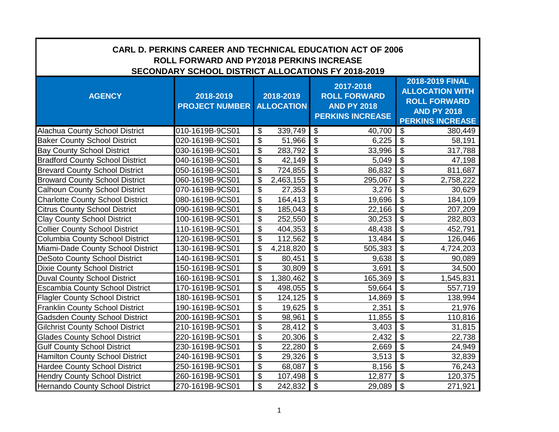| <b>CARL D. PERKINS CAREER AND TECHNICAL EDUCATION ACT OF 2006</b><br>ROLL FORWARD AND PY2018 PERKINS INCREASE<br>SECONDARY SCHOOL DISTRICT ALLOCATIONS FY 2018-2019 |                                    |                                      |                                                                                   |                                                                                                                   |  |  |
|---------------------------------------------------------------------------------------------------------------------------------------------------------------------|------------------------------------|--------------------------------------|-----------------------------------------------------------------------------------|-------------------------------------------------------------------------------------------------------------------|--|--|
| <b>AGENCY</b>                                                                                                                                                       | 2018-2019<br><b>PROJECT NUMBER</b> | 2018-2019<br><b>ALLOCATION</b>       | 2017-2018<br><b>ROLL FORWARD</b><br><b>AND PY 2018</b><br><b>PERKINS INCREASE</b> | 2018-2019 FINAL<br><b>ALLOCATION WITH</b><br><b>ROLL FORWARD</b><br><b>AND PY 2018</b><br><b>PERKINS INCREASE</b> |  |  |
| <b>Alachua County School District</b>                                                                                                                               | 010-1619B-9CS01                    | \$<br>339,749                        | \$<br>40,700                                                                      | \$<br>380,449                                                                                                     |  |  |
| <b>Baker County School District</b>                                                                                                                                 | 020-1619B-9CS01                    | \$<br>51,966                         | $\boldsymbol{\mathsf{S}}$<br>6,225                                                | $\overline{\mathbf{e}}$<br>58,191                                                                                 |  |  |
| <b>Bay County School District</b>                                                                                                                                   | 030-1619B-9CS01                    | $\overline{\mathcal{S}}$<br>283,792  | $\overline{\mathcal{S}}$<br>33,996                                                | $\overline{\mathcal{S}}$<br>317,788                                                                               |  |  |
| <b>Bradford County School District</b>                                                                                                                              | 040-1619B-9CS01                    | $\overline{\$}$<br>42,149            | $\overline{\$}$<br>5,049                                                          | $\overline{\mathcal{L}}$<br>47,198                                                                                |  |  |
| <b>Brevard County School District</b>                                                                                                                               | 050-1619B-9CS01                    | \$<br>724,855                        | $\overline{\$}$<br>86,832                                                         | $\overline{\$}$<br>811,687                                                                                        |  |  |
| <b>Broward County School District</b>                                                                                                                               | 060-1619B-9CS01                    | \$<br>2,463,155                      | $\overline{\$}$<br>295,067                                                        | $\overline{\$}$<br>2,758,222                                                                                      |  |  |
| <b>Calhoun County School District</b>                                                                                                                               | 070-1619B-9CS01                    | \$<br>27,353                         | $\overline{\mathcal{S}}$<br>3,276                                                 | $\overline{\mathbf{S}}$<br>30,629                                                                                 |  |  |
| <b>Charlotte County School District</b>                                                                                                                             | 080-1619B-9CS01                    | \$<br>164,413                        | $\overline{\$}$<br>19,696                                                         | $\overline{\mathcal{S}}$<br>184,109                                                                               |  |  |
| <b>Citrus County School District</b>                                                                                                                                | 090-1619B-9CS01                    | $\overline{\mathfrak{s}}$<br>185,043 | $\overline{\$}$<br>22,166                                                         | $\overline{\$}$<br>207,209                                                                                        |  |  |
| <b>Clay County School District</b>                                                                                                                                  | 100-1619B-9CS01                    | $\overline{\mathfrak{s}}$<br>252,550 | $\overline{\$}$<br>30,253                                                         | $\overline{\mathcal{S}}$<br>282,803                                                                               |  |  |
| <b>Collier County School District</b>                                                                                                                               | 110-1619B-9CS01                    | \$<br>404,353                        | $\overline{\$}$<br>48,438                                                         | $\overline{\mathfrak{s}}$<br>452,791                                                                              |  |  |
| <b>Columbia County School District</b>                                                                                                                              | 120-1619B-9CS01                    | \$<br>112,562                        | $\overline{\$}$<br>13,484                                                         | $\overline{\mathbf{G}}$<br>126,046                                                                                |  |  |
| Miami-Dade County School District                                                                                                                                   | 130-1619B-9CS01                    | \$<br>4,218,820                      | $\overline{\mathcal{S}}$<br>505,383                                               | $\overline{\$}$<br>4,724,203                                                                                      |  |  |
| <b>DeSoto County School District</b>                                                                                                                                | 140-1619B-9CS01                    | \$<br>80,451                         | $\overline{\mathcal{S}}$<br>9,638                                                 | $\boldsymbol{\mathsf{S}}$<br>90,089                                                                               |  |  |
| <b>Dixie County School District</b>                                                                                                                                 | 150-1619B-9CS01                    | $\overline{\mathcal{S}}$<br>30,809   | $\overline{\mathcal{S}}$<br>3,691                                                 | $\overline{\$}$<br>34,500                                                                                         |  |  |
| <b>Duval County School District</b>                                                                                                                                 | 160-1619B-9CS01                    | \$<br>1,380,462                      | $\overline{\mathcal{S}}$<br>165,369                                               | $\overline{\$}$<br>1,545,831                                                                                      |  |  |
| <b>Escambia County School District</b>                                                                                                                              | 170-1619B-9CS01                    | \$<br>498,055                        | $\overline{\$}$<br>59,664                                                         | $\overline{\mathcal{S}}$<br>557,719                                                                               |  |  |
| <b>Flagler County School District</b>                                                                                                                               | 180-1619B-9CS01                    | \$<br>124,125                        | $\overline{\$}$<br>14,869                                                         | $\overline{\mathcal{S}}$<br>138,994                                                                               |  |  |
| <b>Franklin County School District</b>                                                                                                                              | 190-1619B-9CS01                    | $\overline{\mathfrak{s}}$<br>19,625  | $\overline{\$}$<br>2,351                                                          | $\overline{\mathbf{S}}$<br>21,976                                                                                 |  |  |
| <b>Gadsden County School District</b>                                                                                                                               | 200-1619B-9CS01                    | $\overline{\mathfrak{s}}$<br>98,961  | $\overline{\mathcal{S}}$<br>11,855                                                | $\overline{\$}$<br>110,816                                                                                        |  |  |
| <b>Gilchrist County School District</b>                                                                                                                             | 210-1619B-9CS01                    | $\overline{\$}$<br>28,412            | $\overline{\$}$<br>3,403                                                          | $\overline{\$}$<br>31,815                                                                                         |  |  |
| <b>Glades County School District</b>                                                                                                                                | 220-1619B-9CS01                    | $\overline{\$}$<br>20,306            | $\overline{\$}$<br>2,432                                                          | $\overline{\$}$<br>22,738                                                                                         |  |  |
| <b>Gulf County School District</b>                                                                                                                                  | 230-1619B-9CS01                    | $\overline{\mathbf{S}}$<br>22,280    | $\overline{\$}$<br>2,669                                                          | $\overline{\$}$<br>24,949                                                                                         |  |  |
| Hamilton County School District                                                                                                                                     | 240-1619B-9CS01                    | \$<br>29,326                         | $\overline{\mathcal{L}}$<br>3,513                                                 | $\overline{\mathcal{S}}$<br>32,839                                                                                |  |  |
| <b>Hardee County School District</b>                                                                                                                                | 250-1619B-9CS01                    | $\overline{\mathfrak{s}}$<br>68,087  | $\overline{\$}$<br>8,156                                                          | $\overline{\$}$<br>76,243                                                                                         |  |  |
| <b>Hendry County School District</b>                                                                                                                                | 260-1619B-9CS01                    | \$<br>107,498                        | $\mathbb{S}$<br>12,877                                                            | $\overline{\mathcal{S}}$<br>120,375                                                                               |  |  |
| Hernando County School District                                                                                                                                     | 270-1619B-9CS01                    | $\overline{\mathfrak{s}}$<br>242,832 | $\overline{\mathcal{S}}$<br>29,089                                                | $\overline{\mathcal{S}}$<br>271,921                                                                               |  |  |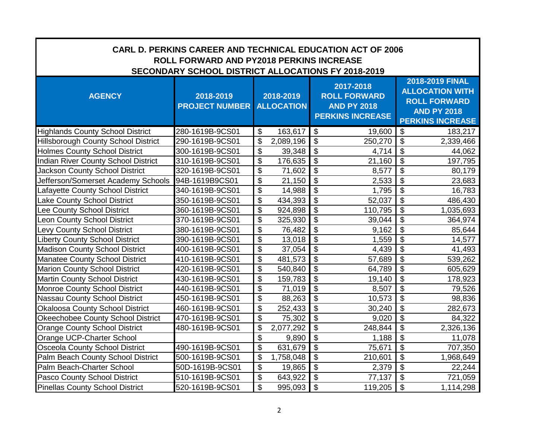| <b>CARL D. PERKINS CAREER AND TECHNICAL EDUCATION ACT OF 2006</b><br><b>ROLL FORWARD AND PY2018 PERKINS INCREASE</b><br>SECONDARY SCHOOL DISTRICT ALLOCATIONS FY 2018-2019 |                                    |                                      |                                                                                   |                                                                                                                   |  |  |
|----------------------------------------------------------------------------------------------------------------------------------------------------------------------------|------------------------------------|--------------------------------------|-----------------------------------------------------------------------------------|-------------------------------------------------------------------------------------------------------------------|--|--|
| <b>AGENCY</b>                                                                                                                                                              | 2018-2019<br><b>PROJECT NUMBER</b> | 2018-2019<br><b>ALLOCATION</b>       | 2017-2018<br><b>ROLL FORWARD</b><br><b>AND PY 2018</b><br><b>PERKINS INCREASE</b> | 2018-2019 FINAL<br><b>ALLOCATION WITH</b><br><b>ROLL FORWARD</b><br><b>AND PY 2018</b><br><b>PERKINS INCREASE</b> |  |  |
| <b>Highlands County School District</b>                                                                                                                                    | 280-1619B-9CS01                    | \$<br>163,617                        | $\mathfrak{F}$<br>19,600                                                          | $\sqrt[6]{3}$<br>183,217                                                                                          |  |  |
| <b>Hillsborough County School District</b>                                                                                                                                 | 290-1619B-9CS01                    | \$<br>2,089,196                      | $\boldsymbol{\mathsf{S}}$<br>250,270                                              | $\overline{\mathbf{e}}$<br>2,339,466                                                                              |  |  |
| <b>Holmes County School District</b>                                                                                                                                       | 300-1619B-9CS01                    | \$<br>39,348                         | $\overline{\mathcal{S}}$<br>4,714                                                 | $\overline{\mathcal{S}}$<br>44,062                                                                                |  |  |
| <b>Indian River County School District</b>                                                                                                                                 | 310-1619B-9CS01                    | \$<br>176,635                        | $\overline{\mathcal{L}}$<br>21,160                                                | $\overline{\mathcal{L}}$<br>197,795                                                                               |  |  |
| <b>Jackson County School District</b>                                                                                                                                      | 320-1619B-9CS01                    | \$<br>71,602                         | $\overline{\mathcal{L}}$<br>8,577                                                 | $\overline{\$}$<br>80,179                                                                                         |  |  |
| Jefferson/Somerset Academy Schools                                                                                                                                         | 94B-1619B9CS01                     | $\overline{\mathfrak{s}}$<br>21,150  | $\overline{\$}$<br>2,533                                                          | $\overline{\$}$<br>23,683                                                                                         |  |  |
| Lafayette County School District                                                                                                                                           | 340-1619B-9CS01                    | $\overline{\mathfrak{s}}$<br>14,988  | $\overline{\$}$<br>1,795                                                          | $\overline{\$}$<br>16,783                                                                                         |  |  |
| Lake County School District                                                                                                                                                | 350-1619B-9CS01                    | \$<br>434,393                        | $\overline{\$}$<br>52,037                                                         | $\overline{\$}$<br>486,430                                                                                        |  |  |
| ee County School District                                                                                                                                                  | 360-1619B-9CS01                    | $\overline{\mathfrak{s}}$<br>924,898 | $\overline{\mathcal{S}}$<br>110,795                                               | $\overline{\mathcal{S}}$<br>1,035,693                                                                             |  |  |
| Leon County School District                                                                                                                                                | 370-1619B-9CS01                    | \$<br>325,930                        | $\overline{\$}$<br>39,044                                                         | $\overline{\mathbf{e}}$<br>364,974                                                                                |  |  |
| Levy County School District                                                                                                                                                | 380-1619B-9CS01                    | \$<br>76,482                         | $\overline{\$}$<br>9,162                                                          | $\overline{\mathcal{L}}$<br>85,644                                                                                |  |  |
| <b>Liberty County School District</b>                                                                                                                                      | 390-1619B-9CS01                    | $\overline{\mathfrak{s}}$<br>13,018  | $\overline{\mathcal{S}}$<br>1,559                                                 | $\overline{\mathfrak{s}}$<br>14,577                                                                               |  |  |
| <b>Madison County School District</b>                                                                                                                                      | 400-1619B-9CS01                    | $\overline{\$}$<br>37,054            | $\overline{\mathcal{S}}$<br>4,439                                                 | $\overline{\$}$<br>41,493                                                                                         |  |  |
| Manatee County School District                                                                                                                                             | 410-1619B-9CS01                    | $\overline{\$}$<br>481,573           | $\overline{\mathcal{S}}$<br>57,689                                                | $\overline{\$}$<br>539,262                                                                                        |  |  |
| <b>Marion County School District</b>                                                                                                                                       | 420-1619B-9CS01                    | $\overline{\mathcal{S}}$<br>540,840  | $\overline{\mathcal{S}}$<br>64,789                                                | $\overline{\$}$<br>605,629                                                                                        |  |  |
| <b>Martin County School District</b>                                                                                                                                       | 430-1619B-9CS01                    | $\overline{\mathfrak{s}}$<br>159,783 | $\overline{\mathcal{S}}$<br>19,140                                                | $\overline{\mathcal{S}}$<br>178,923                                                                               |  |  |
| <b>Monroe County School District</b>                                                                                                                                       | 440-1619B-9CS01                    | \$<br>71,019                         | $\overline{\mathcal{L}}$<br>8,507                                                 | $\overline{\$}$<br>79,526                                                                                         |  |  |
| <b>Nassau County School District</b>                                                                                                                                       | 450-1619B-9CS01                    | $\overline{\mathfrak{s}}$<br>88,263  | $\overline{\$}$<br>10,573                                                         | $\overline{\$}$<br>98,836                                                                                         |  |  |
| <b>Okaloosa County School District</b>                                                                                                                                     | 460-1619B-9CS01                    | $\overline{\$}$<br>252,433           | $\overline{\$}$<br>30,240                                                         | $\overline{\$}$<br>282,673                                                                                        |  |  |
| <b>Okeechobee County School District</b>                                                                                                                                   | 470-1619B-9CS01                    | \$<br>75,302                         | $\overline{\$}$<br>9,020                                                          | $\overline{\mathcal{L}}$<br>84,322                                                                                |  |  |
| <b>Orange County School District</b>                                                                                                                                       | 480-1619B-9CS01                    | \$<br>2,077,292                      | $\overline{\$}$<br>248,844                                                        | $\overline{\$}$<br>2,326,136                                                                                      |  |  |
| Orange UCP-Charter School                                                                                                                                                  |                                    | \$<br>9,890                          | $\overline{\$}$<br>1,188                                                          | $\overline{\$}$<br>11,078                                                                                         |  |  |
| <b>Osceola County School District</b>                                                                                                                                      | 490-1619B-9CS01                    | \$<br>631,679                        | $\overline{\$}$<br>75,671                                                         | $\overline{\$}$<br>707,350                                                                                        |  |  |
| Palm Beach County School District                                                                                                                                          | 500-1619B-9CS01                    | \$<br>1,758,048                      | $\overline{\$}$<br>210,601                                                        | $\overline{\$}$<br>1,968,649                                                                                      |  |  |
| Palm Beach-Charter School                                                                                                                                                  | 50D-1619B-9CS01                    | \$<br>19,865                         | $\overline{\$}$<br>2,379                                                          | $\overline{\mathbf{s}}$<br>22,244                                                                                 |  |  |
| Pasco County School District                                                                                                                                               | 510-1619B-9CS01                    | $\overline{\mathcal{S}}$<br>643,922  | $\overline{\mathcal{S}}$<br>77,137                                                | $\overline{\mathcal{S}}$<br>721,059                                                                               |  |  |
| <b>Pinellas County School District</b>                                                                                                                                     | 520-1619B-9CS01                    | $\overline{\mathfrak{s}}$<br>995,093 | $\overline{\$}$<br>119,205                                                        | $\overline{\$}$<br>1,114,298                                                                                      |  |  |